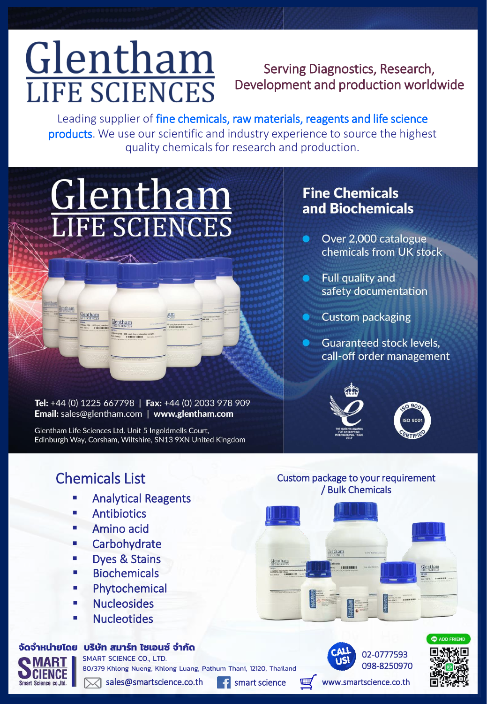# Glentham **LIFE SCIENCES**

### Serving Diagnostics, Research, Development and production worldwide

Leading supplier of fine chemicals, raw materials, reagents and life science products. We use our scientific and industry experience to source the highest quality chemicals for research and production.

# Glentham

Tel: +44 (0) 1225 667798 | Fax: +44 (0) 2033 978 909 Email: sales@glentham.com | www.glentham.com

00 cps), low molecul<br>||||||||||||||||||||||

Glentham Life Sciences Ltd. Unit 5 Ingoldmells Court, Edinburgh Way, Corsham, Wiltshire, SN13 9XN United Kingdom

#### **Fine Chemicals** and Biochemicals

- Over 2,000 catalogue chemicals from UK stock
- Full quality and safety documentation
- **Custom packaging**
- **Guaranteed stock levels,** call-off order management



/ Bulk Chemicals

tham



## Chemicals List Custom package to your requirement

- Analytical Reagents
- **Antibiotics**
- Amino acid
- **EXEC** Carbohydrate
- **Dyes & Stains**
- **Biochemicals**
- **Phytochemical**
- **Nucleosides**
- **Nucleotides**

#### **จัดจ ำหน่ำยโดย บริษัท สมำร์ท ไซเอนซ์จ ำกัด**

SMART SCIENCE CO., LTD.

80/379 Khlong Nueng, Khlong Luang, Pathum Thani, 12120, Thailand

 $\mathbb{\times}$  sales@smartscience.co.th f smart science



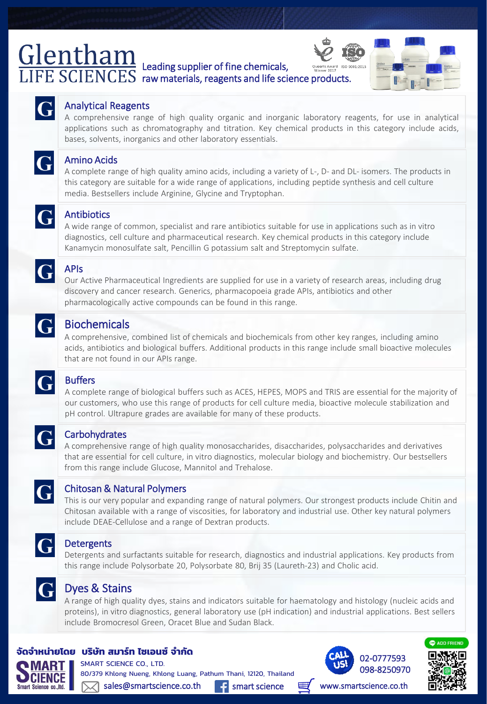# Leading supplier of fine chemicals, raw materials, reagents and life science products.





#### Analytical Reagents

A comprehensive range of high quality organic and inorganic laboratory reagents, for use in analytical applications such as chromatography and titration. Key chemical products in this category include acids, bases, solvents, inorganics and other laboratory essentials.



#### Amino Acids

A complete range of high quality amino acids, including a variety of L-, D- and DL- isomers. The products in this category are suitable for a wide range of applications, including peptide synthesis and cell culture media. Bestsellers include Arginine, Glycine and Tryptophan.



#### Antibiotics

A wide range of common, specialist and rare antibiotics suitable for use in applications such as in vitro diagnostics, cell culture and pharmaceutical research. Key chemical products in this category include Kanamycin monosulfate salt, Pencillin G potassium salt and Streptomycin sulfate.



#### APIs

Our Active Pharmaceutical Ingredients are supplied for use in a variety of research areas, including drug discovery and cancer research. Generics, pharmacopoeia grade APIs, antibiotics and other pharmacologically active compounds can be found in this range.



#### Biochemicals

A comprehensive, combined list of chemicals and biochemicals from other key ranges, including amino acids, antibiotics and biological buffers. Additional products in this range include small bioactive molecules that are not found in our APIs range.



#### **Buffers**

A complete range of biological buffers such as ACES, HEPES, MOPS and TRIS are essential for the majority of our customers, who use this range of products for cell culture media, bioactive molecule stabilization and pH control. Ultrapure grades are available for many of these products.



#### **Carbohydrates**

A comprehensive range of high quality monosaccharides, disaccharides, polysaccharides and derivatives that are essential for cell culture, in vitro diagnostics, molecular biology and biochemistry. Our bestsellers from this range include Glucose, Mannitol and Trehalose.



#### Chitosan & Natural Polymers

This is our very popular and expanding range of natural polymers. Our strongest products include Chitin and Chitosan available with a range of viscosities, for laboratory and industrial use. Other key natural polymers include DEAE-Cellulose and a range of Dextran products.



#### **Detergents**

Detergents and surfactants suitable for research, diagnostics and industrial applications. Key products from this range include Polysorbate 20, Polysorbate 80, Brij 35 (Laureth-23) and Cholic acid.



#### Dyes & Stains

A range of high quality dyes, stains and indicators suitable for haematology and histology (nucleic acids and proteins), in vitro diagnostics, general laboratory use (pH indication) and industrial applications. Best sellers include Bromocresol Green, Oracet Blue and Sudan Black.

#### **จัดจ ำหน่ำยโดย บริษัท สมำร์ท ไซเอนซ์จ ำกัด**

SMART SCIENCE CO., LTD. 80/379 Khlong Nueng, Khlong Luang, Pathum Thani, 12120, Thailand  $\mathbb{\times}$  sales@smartscience.co.th **f** smart science





www.smartscience.co.th